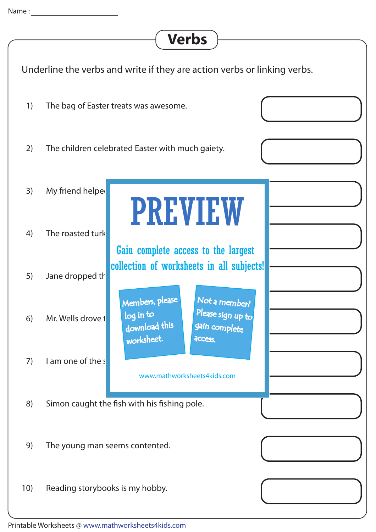## **Verbs**

| Underline the verbs and write if they are action verbs or linking verbs. |                                 |                                                                                                                                                                                                                                                  |  |
|--------------------------------------------------------------------------|---------------------------------|--------------------------------------------------------------------------------------------------------------------------------------------------------------------------------------------------------------------------------------------------|--|
| 1)                                                                       |                                 | The bag of Easter treats was awesome.                                                                                                                                                                                                            |  |
| 2)                                                                       |                                 | The children celebrated Easter with much gaiety.                                                                                                                                                                                                 |  |
| 3)                                                                       | My friend helped                | <b>PREVIEW</b>                                                                                                                                                                                                                                   |  |
| 4)                                                                       | The roasted turk                | Gain complete access to the largest<br>collection of worksheets in all subjects!<br>Members, please<br>Not a member?<br>Please sign up to<br>log in to<br>download this<br>gain complete<br>worksheet.<br>access.<br>www.mathworksheets4kids.com |  |
| 5)                                                                       | Jane dropped th                 |                                                                                                                                                                                                                                                  |  |
| 6)                                                                       | Mr. Wells drove t               |                                                                                                                                                                                                                                                  |  |
| 7)                                                                       | I am one of the s               |                                                                                                                                                                                                                                                  |  |
| 8)                                                                       |                                 | Simon caught the fish with his fishing pole.                                                                                                                                                                                                     |  |
| 9)                                                                       | The young man seems contented.  |                                                                                                                                                                                                                                                  |  |
| 10)                                                                      | Reading storybooks is my hobby. |                                                                                                                                                                                                                                                  |  |